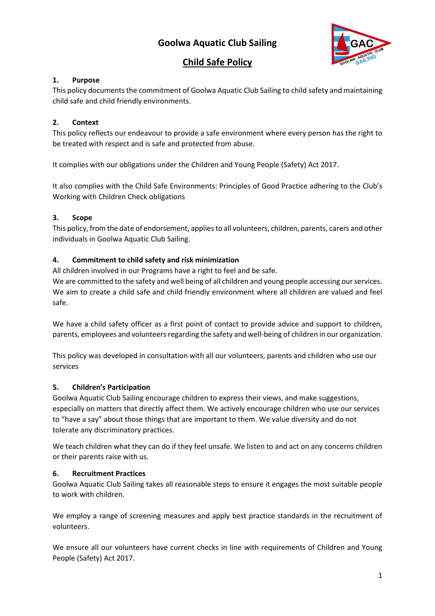# **Goolwa Aquatic Club Sailing**



# **Child Safe Policy**

## **1. Purpose**

This policy documents the commitment of Goolwa Aquatic Club Sailing to child safety and maintaining child safe and child friendly environments.

## **2. Context**

This policy reflects our endeavour to provide a safe environment where every person has the right to be treated with respect and is safe and protected from abuse.

It complies with our obligations under the Children and Young People (Safety) Act 2017.

It also complies with the Child Safe Environments: Principles of Good Practice adhering to the Club's Working with Children Check obligations

## **3. Scope**

This policy, from the date of endorsement, applies to all volunteers, children, parents, carers and other individuals in Goolwa Aquatic Club Sailing.

## **4. Commitment to child safety and risk minimization**

All children involved in our Programs have a right to feel and be safe.

We are committed to the safety and well being of all children and young people accessing our services. We aim to create a child safe and child friendly environment where all children are valued and feel safe.

We have a child safety officer as a first point of contact to provide advice and support to children, parents, employees and volunteers regarding the safety and well-being of children in our organization.

This policy was developed in consultation with all our volunteers, parents and children who use our services

#### **5. Children's Participation**

Goolwa Aquatic Club Sailing encourage children to express their views, and make suggestions, especially on matters that directly affect them. We actively encourage children who use our services to "have a say" about those things that are important to them. We value diversity and do not tolerate any discriminatory practices.

We teach children what they can do if they feel unsafe. We listen to and act on any concerns children or their parents raise with us.

#### **6. Recruitment Practices**

Goolwa Aquatic Club Sailing takes all reasonable steps to ensure it engages the most suitable people to work with children.

We employ a range of screening measures and apply best practice standards in the recruitment of volunteers.

We ensure all our volunteers have current checks in line with requirements of Children and Young People (Safety) Act 2017.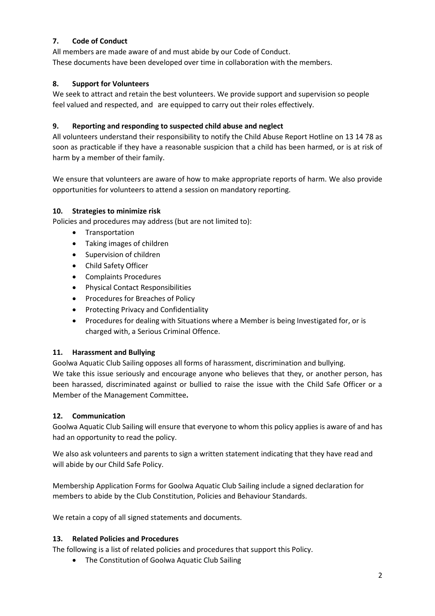## **7. Code of Conduct**

All members are made aware of and must abide by our Code of Conduct. These documents have been developed over time in collaboration with the members.

## **8. Support for Volunteers**

We seek to attract and retain the best volunteers. We provide support and supervision so people feel valued and respected, and are equipped to carry out their roles effectively.

### **9. Reporting and responding to suspected child abuse and neglect**

All volunteers understand their responsibility to notify the Child Abuse Report Hotline on 13 14 78 as soon as practicable if they have a reasonable suspicion that a child has been harmed, or is at risk of harm by a member of their family.

We ensure that volunteers are aware of how to make appropriate reports of harm. We also provide opportunities for volunteers to attend a session on mandatory reporting.

## **10. Strategies to minimize risk**

Policies and procedures may address (but are not limited to):

- Transportation
- Taking images of children
- Supervision of children
- Child Safety Officer
- Complaints Procedures
- Physical Contact Responsibilities
- Procedures for Breaches of Policy
- Protecting Privacy and Confidentiality
- Procedures for dealing with Situations where a Member is being Investigated for, or is charged with, a Serious Criminal Offence.

#### **11. Harassment and Bullying**

Goolwa Aquatic Club Sailing opposes all forms of harassment, discrimination and bullying. We take this issue seriously and encourage anyone who believes that they, or another person, has been harassed, discriminated against or bullied to raise the issue with the Child Safe Officer or a Member of the Management Committee**.**

#### **12. Communication**

Goolwa Aquatic Club Sailing will ensure that everyone to whom this policy applies is aware of and has had an opportunity to read the policy.

We also ask volunteers and parents to sign a written statement indicating that they have read and will abide by our Child Safe Policy.

Membership Application Forms for Goolwa Aquatic Club Sailing include a signed declaration for members to abide by the Club Constitution, Policies and Behaviour Standards.

We retain a copy of all signed statements and documents.

#### **13. Related Policies and Procedures**

The following is a list of related policies and procedures that support this Policy.

• The Constitution of Goolwa Aquatic Club Sailing